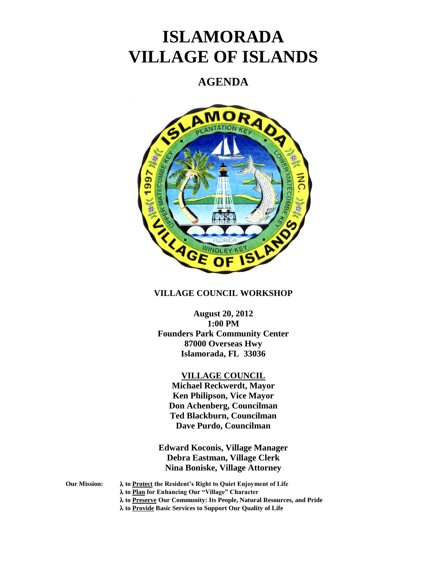# **ISLAMORADA VILLAGE OF ISLANDS**

# **AGENDA**



# **VILLAGE COUNCIL WORKSHOP**

# **August 20, 2012 1:00 PM Founders Park Community Center 87000 Overseas Hwy Islamorada, FL 33036**

# **VILLAGE COUNCIL**

**Michael Reckwerdt, Mayor Ken Philipson, Vice Mayor Don Achenberg, Councilman Ted Blackburn, Councilman Dave Purdo, Councilman**

**Edward Koconis, Village Manager Debra Eastman, Village Clerk Nina Boniske, Village Attorney**

**Our Mission: to Protect the Resident's Right to Quiet Enjoyment of Life to Plan for Enhancing Our "Village" Character to Preserve Our Community: Its People, Natural Resources, and Pride**

**to Provide Basic Services to Support Our Quality of Life**